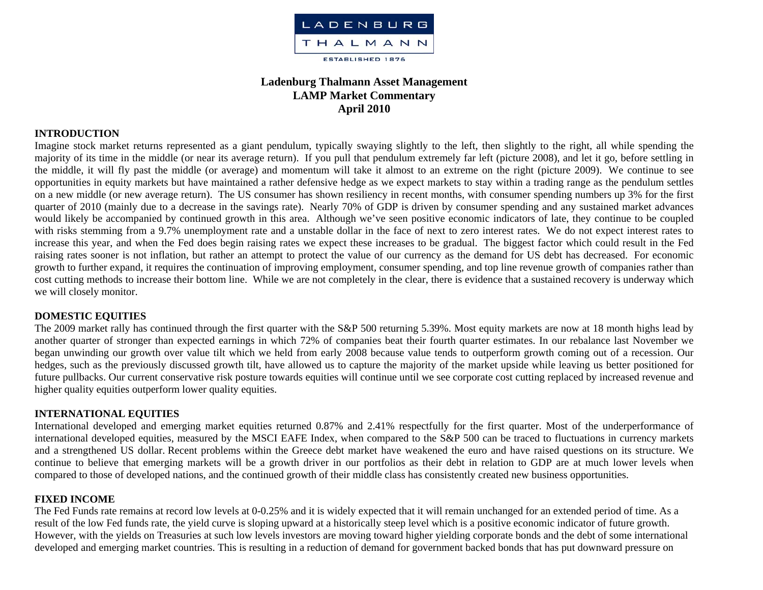

# **Ladenburg Thalmann Asset Management LAMP Market Commentary April 2010**

### **INTRODUCTION**

Imagine stock market returns represented as a giant pendulum, typically swaying slightly to the left, then slightly to the right, all while spending the majority of its time in the middle (or near its average return). If you pull that pendulum extremely far left (picture 2008), and let it go, before settling in the middle, it will fly past the middle (or average) and momentum will take it almost to an extreme on the right (picture 2009). We continue to see opportunities in equity markets but have maintained a rather defensive hedge as we expect markets to stay within a trading range as the pendulum settles on a new middle (or new average return). The US consumer has shown resiliency in recent months, with consumer spending numbers up 3% for the first quarter of 2010 (mainly due to a decrease in the savings rate). Nearly 70% of GDP is driven by consumer spending and any sustained market advances would likely be accompanied by continued growth in this area. Although we've seen positive economic indicators of late, they continue to be coupled with risks stemming from a 9.7% unemployment rate and a unstable dollar in the face of next to zero interest rates. We do not expect interest rates to increase this year, and when the Fed does begin raising rates we expect these increases to be gradual. The biggest factor which could result in the Fed raising rates sooner is not inflation, but rather an attempt to protect the value of our currency as the demand for US debt has decreased. For economic growth to further expand, it requires the continuation of improving employment, consumer spending, and top line revenue growth of companies rather than cost cutting methods to increase their bottom line. While we are not completely in the clear, there is evidence that a sustained recovery is underway which we will closely monitor.

#### **DOMESTIC EQUITIES**

The 2009 market rally has continued through the first quarter with the S&P 500 returning 5.39%. Most equity markets are now at 18 month highs lead by another quarter of stronger than expected earnings in which 72% of companies beat their fourth quarter estimates. In our rebalance last November we began unwinding our growth over value tilt which we held from early 2008 because value tends to outperform growth coming out of a recession. Our hedges, such as the previously discussed growth tilt, have allowed us to capture the majority of the market upside while leaving us better positioned for future pullbacks. Our current conservative risk posture towards equities will continue until we see corporate cost cutting replaced by increased revenue and higher quality equities outperform lower quality equities.

#### **INTERNATIONAL EQUITIES**

International developed and emerging market equities returned 0.87% and 2.41% respectfully for the first quarter. Most of the underperformance of international developed equities, measured by the MSCI EAFE Index, when compared to the S&P 500 can be traced to fluctuations in currency markets and a strengthened US dollar. Recent problems within the Greece debt market have weakened the euro and have raised questions on its structure. We continue to believe that emerging markets will be a growth driver in our portfolios as their debt in relation to GDP are at much lower levels when compared to those of developed nations, and the continued growth of their middle class has consistently created new business opportunities.

#### **FIXED INCOME**

The Fed Funds rate remains at record low levels at 0-0.25% and it is widely expected that it will remain unchanged for an extended period of time. As a result of the low Fed funds rate, the yield curve is sloping upward at a historically steep level which is a positive economic indicator of future growth. However, with the yields on Treasuries at such low levels investors are moving toward higher yielding corporate bonds and the debt of some international developed and emerging market countries. This is resulting in a reduction of demand for government backed bonds that has put downward pressure on